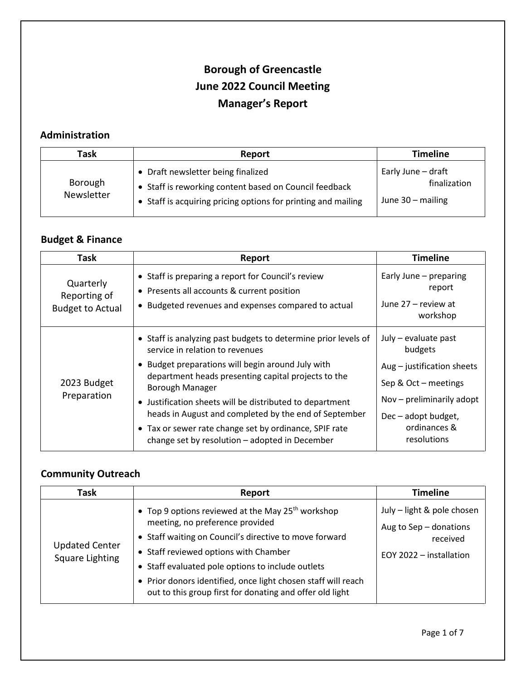# **Borough of Greencastle June 2022 Council Meeting Manager's Report**

## **Administration**

| Task                  | Report                                                                                                                                                        | <b>Timeline</b>                                           |
|-----------------------|---------------------------------------------------------------------------------------------------------------------------------------------------------------|-----------------------------------------------------------|
| Borough<br>Newsletter | • Draft newsletter being finalized<br>• Staff is reworking content based on Council feedback<br>• Staff is acquiring pricing options for printing and mailing | Early June - draft<br>finalization<br>June $30 -$ mailing |

### **Budget & Finance**

| Task                                                 | Report                                                                                                                                                                                                                                                                                                                                                                                                                                                            | <b>Timeline</b>                                                                                                                                                            |
|------------------------------------------------------|-------------------------------------------------------------------------------------------------------------------------------------------------------------------------------------------------------------------------------------------------------------------------------------------------------------------------------------------------------------------------------------------------------------------------------------------------------------------|----------------------------------------------------------------------------------------------------------------------------------------------------------------------------|
| Quarterly<br>Reporting of<br><b>Budget to Actual</b> | • Staff is preparing a report for Council's review<br>• Presents all accounts & current position<br>• Budgeted revenues and expenses compared to actual                                                                                                                                                                                                                                                                                                           | Early June - preparing<br>report<br>June 27 – review at<br>workshop                                                                                                        |
| 2023 Budget<br>Preparation                           | • Staff is analyzing past budgets to determine prior levels of<br>service in relation to revenues<br>• Budget preparations will begin around July with<br>department heads presenting capital projects to the<br>Borough Manager<br>• Justification sheets will be distributed to department<br>heads in August and completed by the end of September<br>• Tax or sewer rate change set by ordinance, SPIF rate<br>change set by resolution - adopted in December | July - evaluate past<br>budgets<br>$Aug - justification sheets$<br>Sep & Oct - meetings<br>Nov - preliminarily adopt<br>Dec – adopt budget,<br>ordinances &<br>resolutions |

### **Community Outreach**

| Task                                     | Report                                                                                                                                                                                                                                                                                                                                                                                | <b>Timeline</b>                                                                             |
|------------------------------------------|---------------------------------------------------------------------------------------------------------------------------------------------------------------------------------------------------------------------------------------------------------------------------------------------------------------------------------------------------------------------------------------|---------------------------------------------------------------------------------------------|
| <b>Updated Center</b><br>Square Lighting | • Top 9 options reviewed at the May 25 <sup>th</sup> workshop<br>meeting, no preference provided<br>• Staff waiting on Council's directive to move forward<br>• Staff reviewed options with Chamber<br>• Staff evaluated pole options to include outlets<br>• Prior donors identified, once light chosen staff will reach<br>out to this group first for donating and offer old light | July - light & pole chosen<br>Aug to Sep - donations<br>received<br>EOY 2022 - installation |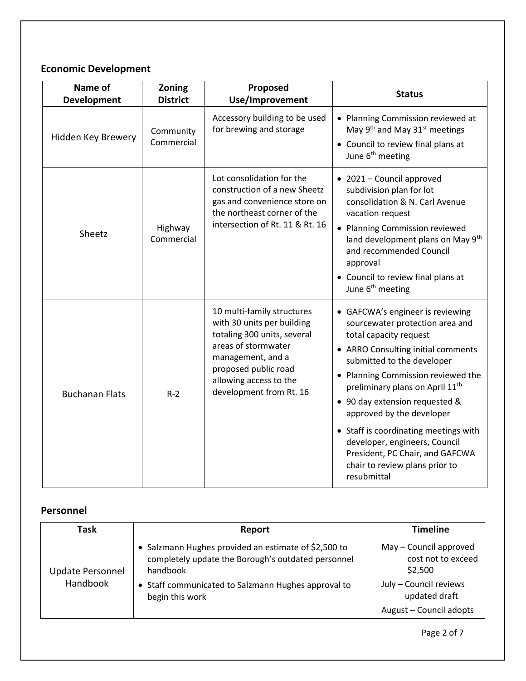# **Economic Development**

| Name of<br><b>Development</b> | Zoning<br><b>District</b> | Proposed<br>Use/Improvement                                                                                                                                                                                      | <b>Status</b>                                                                                                                                                                                                                                                                                                                                                                                                                                                                       |
|-------------------------------|---------------------------|------------------------------------------------------------------------------------------------------------------------------------------------------------------------------------------------------------------|-------------------------------------------------------------------------------------------------------------------------------------------------------------------------------------------------------------------------------------------------------------------------------------------------------------------------------------------------------------------------------------------------------------------------------------------------------------------------------------|
| Hidden Key Brewery            | Community<br>Commercial   | Accessory building to be used<br>for brewing and storage                                                                                                                                                         | • Planning Commission reviewed at<br>May 9 <sup>th</sup> and May 31 <sup>st</sup> meetings<br>• Council to review final plans at<br>June 6 <sup>th</sup> meeting                                                                                                                                                                                                                                                                                                                    |
| Sheetz                        | Highway<br>Commercial     | Lot consolidation for the<br>construction of a new Sheetz<br>gas and convenience store on<br>the northeast corner of the<br>intersection of Rt. 11 & Rt. 16                                                      | • 2021 - Council approved<br>subdivision plan for lot<br>consolidation & N. Carl Avenue<br>vacation request<br>• Planning Commission reviewed<br>land development plans on May 9th<br>and recommended Council<br>approval<br>• Council to review final plans at<br>June 6 <sup>th</sup> meeting                                                                                                                                                                                     |
| <b>Buchanan Flats</b>         | $R-2$                     | 10 multi-family structures<br>with 30 units per building<br>totaling 300 units, several<br>areas of stormwater<br>management, and a<br>proposed public road<br>allowing access to the<br>development from Rt. 16 | • GAFCWA's engineer is reviewing<br>sourcewater protection area and<br>total capacity request<br>• ARRO Consulting initial comments<br>submitted to the developer<br>• Planning Commission reviewed the<br>preliminary plans on April 11 <sup>th</sup><br>• 90 day extension requested &<br>approved by the developer<br>• Staff is coordinating meetings with<br>developer, engineers, Council<br>President, PC Chair, and GAFCWA<br>chair to review plans prior to<br>resubmittal |

## **Personnel**

| Task                                | Report                                                                                                                                                                                           | <b>Timeline</b>                                                                                                               |
|-------------------------------------|--------------------------------------------------------------------------------------------------------------------------------------------------------------------------------------------------|-------------------------------------------------------------------------------------------------------------------------------|
| <b>Update Personnel</b><br>Handbook | • Salzmann Hughes provided an estimate of \$2,500 to<br>completely update the Borough's outdated personnel<br>handbook<br>• Staff communicated to Salzmann Hughes approval to<br>begin this work | May - Council approved<br>cost not to exceed<br>\$2,500<br>July - Council reviews<br>updated draft<br>August - Council adopts |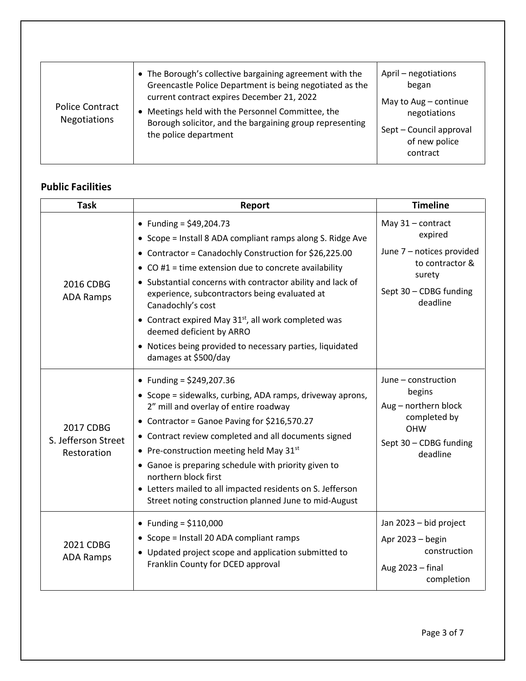| <b>Police Contract</b><br><b>Negotiations</b> | • The Borough's collective bargaining agreement with the<br>Greencastle Police Department is being negotiated as the<br>current contract expires December 21, 2022<br>• Meetings held with the Personnel Committee, the<br>Borough solicitor, and the bargaining group representing<br>the police department | April - negotiations<br>began<br>May to Aug - continue<br>negotiations<br>Sept - Council approval<br>of new police<br>contract |
|-----------------------------------------------|--------------------------------------------------------------------------------------------------------------------------------------------------------------------------------------------------------------------------------------------------------------------------------------------------------------|--------------------------------------------------------------------------------------------------------------------------------|

# **Public Facilities**

| <b>Task</b>                                     | Report                                                                                                                                                                                                                                                                                                                                                                                                                                                                                                                | <b>Timeline</b>                                                                                                              |
|-------------------------------------------------|-----------------------------------------------------------------------------------------------------------------------------------------------------------------------------------------------------------------------------------------------------------------------------------------------------------------------------------------------------------------------------------------------------------------------------------------------------------------------------------------------------------------------|------------------------------------------------------------------------------------------------------------------------------|
| 2016 CDBG<br><b>ADA Ramps</b>                   | • Funding = $$49,204.73$<br>• Scope = Install 8 ADA compliant ramps along S. Ridge Ave<br>• Contractor = Canadochly Construction for \$26,225.00<br>• CO #1 = time extension due to concrete availability<br>• Substantial concerns with contractor ability and lack of<br>experience, subcontractors being evaluated at<br>Canadochly's cost<br>• Contract expired May 31st, all work completed was<br>deemed deficient by ARRO<br>• Notices being provided to necessary parties, liquidated<br>damages at \$500/day | May 31 - contract<br>expired<br>June 7 - notices provided<br>to contractor &<br>surety<br>Sept 30 - CDBG funding<br>deadline |
| 2017 CDBG<br>S. Jefferson Street<br>Restoration | • Funding = $$249,207.36$<br>• Scope = sidewalks, curbing, ADA ramps, driveway aprons,<br>2" mill and overlay of entire roadway<br>• Contractor = Ganoe Paving for \$216,570.27<br>• Contract review completed and all documents signed<br>• Pre-construction meeting held May $31^{st}$<br>• Ganoe is preparing schedule with priority given to<br>northern block first<br>• Letters mailed to all impacted residents on S. Jefferson<br>Street noting construction planned June to mid-August                       | June - construction<br>begins<br>Aug - northern block<br>completed by<br><b>OHW</b><br>Sept 30 - CDBG funding<br>deadline    |
| 2021 CDBG<br><b>ADA Ramps</b>                   | • Funding = $$110,000$<br>• Scope = Install 20 ADA compliant ramps<br>• Updated project scope and application submitted to<br>Franklin County for DCED approval                                                                                                                                                                                                                                                                                                                                                       | Jan 2023 - bid project<br>Apr 2023 - begin<br>construction<br>Aug 2023 - final<br>completion                                 |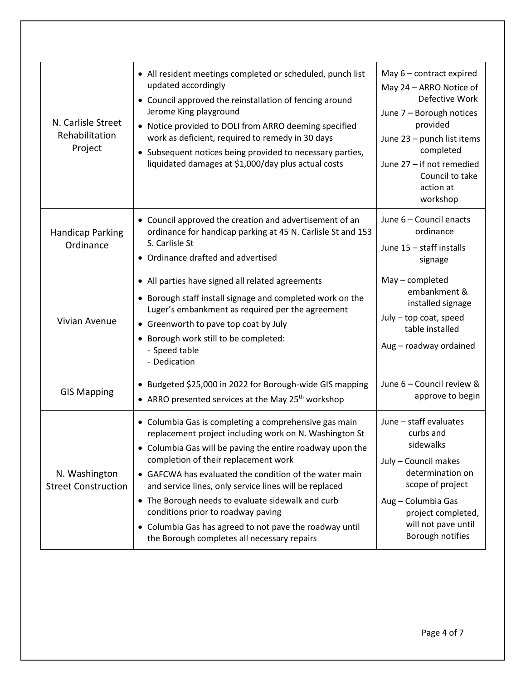| N. Carlisle Street<br>Rehabilitation<br>Project | • All resident meetings completed or scheduled, punch list<br>updated accordingly<br>• Council approved the reinstallation of fencing around<br>Jerome King playground<br>• Notice provided to DOLI from ARRO deeming specified<br>work as deficient, required to remedy in 30 days<br>• Subsequent notices being provided to necessary parties,<br>liquidated damages at \$1,000/day plus actual costs                                                                                                                                       | May $6$ – contract expired<br>May 24 - ARRO Notice of<br>Defective Work<br>June 7 - Borough notices<br>provided<br>June 23 - punch list items<br>completed<br>June 27 - if not remedied<br>Council to take<br>action at<br>workshop |
|-------------------------------------------------|-----------------------------------------------------------------------------------------------------------------------------------------------------------------------------------------------------------------------------------------------------------------------------------------------------------------------------------------------------------------------------------------------------------------------------------------------------------------------------------------------------------------------------------------------|-------------------------------------------------------------------------------------------------------------------------------------------------------------------------------------------------------------------------------------|
| <b>Handicap Parking</b><br>Ordinance            | • Council approved the creation and advertisement of an<br>ordinance for handicap parking at 45 N. Carlisle St and 153<br>S. Carlisle St<br>• Ordinance drafted and advertised                                                                                                                                                                                                                                                                                                                                                                | June 6 - Council enacts<br>ordinance<br>June 15 - staff installs<br>signage                                                                                                                                                         |
| Vivian Avenue                                   | • All parties have signed all related agreements<br>• Borough staff install signage and completed work on the<br>Luger's embankment as required per the agreement<br>• Greenworth to pave top coat by July<br>• Borough work still to be completed:<br>- Speed table<br>- Dedication                                                                                                                                                                                                                                                          | May - completed<br>embankment &<br>installed signage<br>July - top coat, speed<br>table installed<br>Aug - roadway ordained                                                                                                         |
| <b>GIS Mapping</b>                              | • Budgeted \$25,000 in 2022 for Borough-wide GIS mapping<br>• ARRO presented services at the May 25 <sup>th</sup> workshop                                                                                                                                                                                                                                                                                                                                                                                                                    | June 6 - Council review &<br>approve to begin                                                                                                                                                                                       |
| N. Washington<br><b>Street Construction</b>     | • Columbia Gas is completing a comprehensive gas main<br>replacement project including work on N. Washington St<br>• Columbia Gas will be paving the entire roadway upon the<br>completion of their replacement work<br>• GAFCWA has evaluated the condition of the water main<br>and service lines, only service lines will be replaced<br>• The Borough needs to evaluate sidewalk and curb<br>conditions prior to roadway paving<br>• Columbia Gas has agreed to not pave the roadway until<br>the Borough completes all necessary repairs | June - staff evaluates<br>curbs and<br>sidewalks<br>July - Council makes<br>determination on<br>scope of project<br>Aug - Columbia Gas<br>project completed,<br>will not pave until<br>Borough notifies                             |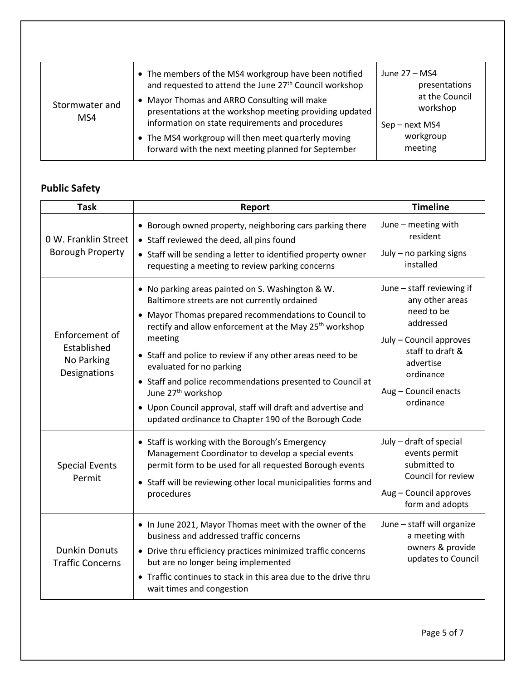| Stormwater and<br>MS4 | • The members of the MS4 workgroup have been notified<br>and requested to attend the June 27 <sup>th</sup> Council workshop<br>• Mayor Thomas and ARRO Consulting will make<br>presentations at the workshop meeting providing updated<br>information on state requirements and procedures<br>• The MS4 workgroup will then meet quarterly moving<br>forward with the next meeting planned for September | June 27 - MS4<br>presentations<br>at the Council<br>workshop<br>Sep - next MS4<br>workgroup<br>meeting |
|-----------------------|----------------------------------------------------------------------------------------------------------------------------------------------------------------------------------------------------------------------------------------------------------------------------------------------------------------------------------------------------------------------------------------------------------|--------------------------------------------------------------------------------------------------------|
|-----------------------|----------------------------------------------------------------------------------------------------------------------------------------------------------------------------------------------------------------------------------------------------------------------------------------------------------------------------------------------------------------------------------------------------------|--------------------------------------------------------------------------------------------------------|

# **Public Safety**

| <b>Task</b>                                                 | Report                                                                                                                                                                                                                                                                                                                                                                                                                                                                                                                                                      | <b>Timeline</b>                                                                                                                                                                       |
|-------------------------------------------------------------|-------------------------------------------------------------------------------------------------------------------------------------------------------------------------------------------------------------------------------------------------------------------------------------------------------------------------------------------------------------------------------------------------------------------------------------------------------------------------------------------------------------------------------------------------------------|---------------------------------------------------------------------------------------------------------------------------------------------------------------------------------------|
| 0 W. Franklin Street<br><b>Borough Property</b>             | • Borough owned property, neighboring cars parking there<br>• Staff reviewed the deed, all pins found<br>• Staff will be sending a letter to identified property owner<br>requesting a meeting to review parking concerns                                                                                                                                                                                                                                                                                                                                   | June - meeting with<br>resident<br>July - no parking signs<br>installed                                                                                                               |
| Enforcement of<br>Established<br>No Parking<br>Designations | • No parking areas painted on S. Washington & W.<br>Baltimore streets are not currently ordained<br>• Mayor Thomas prepared recommendations to Council to<br>rectify and allow enforcement at the May 25 <sup>th</sup> workshop<br>meeting<br>• Staff and police to review if any other areas need to be<br>evaluated for no parking<br>• Staff and police recommendations presented to Council at<br>June 27 <sup>th</sup> workshop<br>• Upon Council approval, staff will draft and advertise and<br>updated ordinance to Chapter 190 of the Borough Code | June - staff reviewing if<br>any other areas<br>need to be<br>addressed<br>July - Council approves<br>staff to draft &<br>advertise<br>ordinance<br>Aug - Council enacts<br>ordinance |
| <b>Special Events</b><br>Permit                             | • Staff is working with the Borough's Emergency<br>Management Coordinator to develop a special events<br>permit form to be used for all requested Borough events<br>• Staff will be reviewing other local municipalities forms and<br>procedures                                                                                                                                                                                                                                                                                                            | July - draft of special<br>events permit<br>submitted to<br>Council for review<br>Aug - Council approves<br>form and adopts                                                           |
| <b>Dunkin Donuts</b><br><b>Traffic Concerns</b>             | . In June 2021, Mayor Thomas meet with the owner of the<br>business and addressed traffic concerns<br>• Drive thru efficiency practices minimized traffic concerns<br>but are no longer being implemented<br>Traffic continues to stack in this area due to the drive thru<br>wait times and congestion                                                                                                                                                                                                                                                     | June - staff will organize<br>a meeting with<br>owners & provide<br>updates to Council                                                                                                |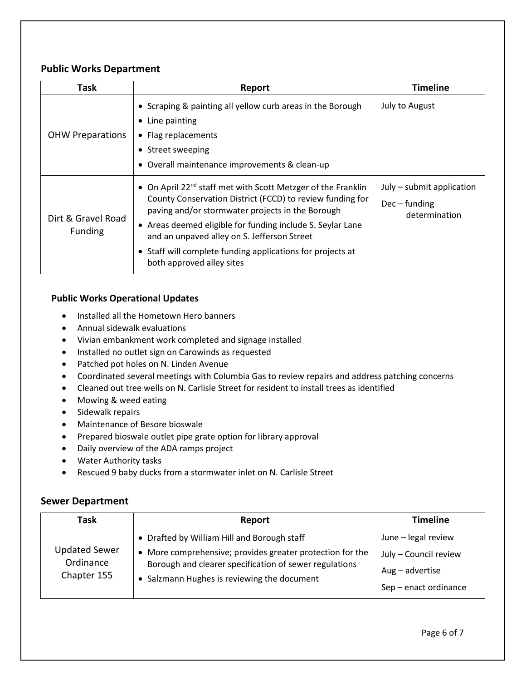### **Public Works Department**

| Task                                 | Report                                                                                                                                                                                                                                                                                                                                                                                            | <b>Timeline</b>                                               |
|--------------------------------------|---------------------------------------------------------------------------------------------------------------------------------------------------------------------------------------------------------------------------------------------------------------------------------------------------------------------------------------------------------------------------------------------------|---------------------------------------------------------------|
| <b>OHW Preparations</b>              | • Scraping & painting all yellow curb areas in the Borough<br>• Line painting<br>• Flag replacements<br>• Street sweeping<br>• Overall maintenance improvements & clean-up                                                                                                                                                                                                                        | July to August                                                |
| Dirt & Gravel Road<br><b>Funding</b> | • On April 22 <sup>nd</sup> staff met with Scott Metzger of the Franklin<br>County Conservation District (FCCD) to review funding for<br>paving and/or stormwater projects in the Borough<br>• Areas deemed eligible for funding include S. Seylar Lane<br>and an unpaved alley on S. Jefferson Street<br>• Staff will complete funding applications for projects at<br>both approved alley sites | July – submit application<br>$Dec$ – funding<br>determination |

### **Public Works Operational Updates**

- Installed all the Hometown Hero banners
- Annual sidewalk evaluations
- Vivian embankment work completed and signage installed
- Installed no outlet sign on Carowinds as requested
- Patched pot holes on N. Linden Avenue
- Coordinated several meetings with Columbia Gas to review repairs and address patching concerns
- Cleaned out tree wells on N. Carlisle Street for resident to install trees as identified
- Mowing & weed eating
- Sidewalk repairs
- Maintenance of Besore bioswale
- Prepared bioswale outlet pipe grate option for library approval
- Daily overview of the ADA ramps project
- Water Authority tasks
- Rescued 9 baby ducks from a stormwater inlet on N. Carlisle Street

#### **Sewer Department**

| Task                                             | Report                                                                                                                                                                                                            | <b>Timeline</b>                                                                            |
|--------------------------------------------------|-------------------------------------------------------------------------------------------------------------------------------------------------------------------------------------------------------------------|--------------------------------------------------------------------------------------------|
| <b>Updated Sewer</b><br>Ordinance<br>Chapter 155 | • Drafted by William Hill and Borough staff<br>• More comprehensive; provides greater protection for the<br>Borough and clearer specification of sewer regulations<br>• Salzmann Hughes is reviewing the document | June - legal review<br>July - Council review<br>$Aug - advertise$<br>Sep - enact ordinance |